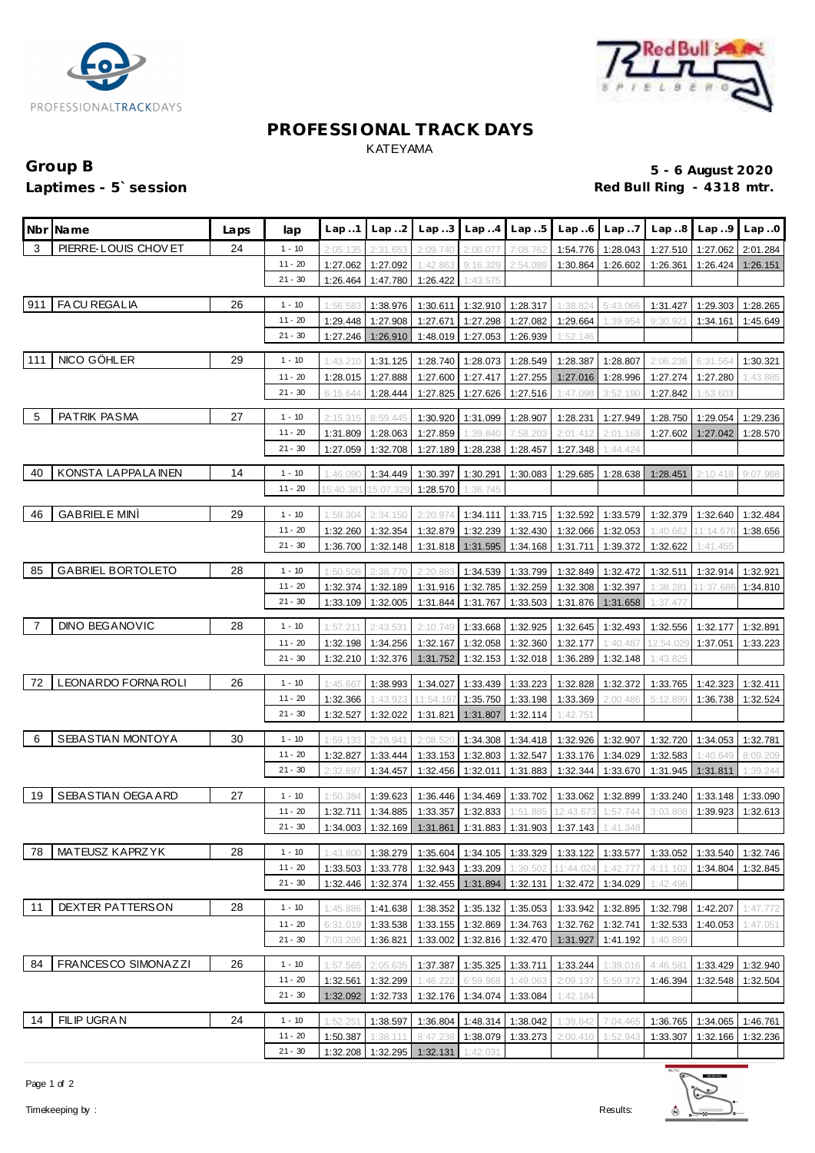



# **PROFESSIONAL TRACK DAYS** KATEYAMA

# Group B **5 - 6 August 2020**<br>
Laptimes - 5`session **1999 in the set of the set of the set of the set of the set of the set of the set of the s**<br>
Red Bull Ring - 4318 mtr. Red Bull Ring - 4318 mtr.

|     | Nbr Name                 | Laps | lap                    |                      | $Lap.1$ $Lap.2$      |          | $Lap3$ $Lap4$ $Lap5$          |                      |                                                                             | $Lap.6$ $Lap.7$      |                      | $Lap.8$ $Lap.9$      | Lap.0    |
|-----|--------------------------|------|------------------------|----------------------|----------------------|----------|-------------------------------|----------------------|-----------------------------------------------------------------------------|----------------------|----------------------|----------------------|----------|
| 3   | PIERRE-LOUIS CHOVET      | 24   | $1 - 10$               | 2:05.135             | 2:31.653             | 2:09.740 | 2:00.077                      | 7:08.762             | 1:54.776                                                                    | 1:28.043             |                      | 1:27.510 1:27.062    | 2:01.284 |
|     |                          |      | $11 - 20$              | 1:27.062             | 1:27.092             | 1:42.863 | 9:16.329                      | 2:54.089             | 1:30.864                                                                    | 1:26.602             | 1:26.361             | 1:26.424             | 1:26.151 |
|     |                          |      | $21 - 30$              | 1:26.464             | 1:47.780             | 1:26.422 | 1:43.575                      |                      |                                                                             |                      |                      |                      |          |
| 911 | <b>FACU REGALIA</b>      | 26   | $1 - 10$               | 1:56.583             | 1:38.976             | 1:30.611 |                               | 1:32.910 1:28.317    | 1:38.824                                                                    | 5:43.066             | 1:31.427             | 1:29.303             | 1:28.265 |
|     |                          |      | $11 - 20$              | 1:29.448             | 1:27.908             | 1:27.671 |                               | 1:27.298 1:27.082    | 1:29.664                                                                    | 1:39.954             | 9:30.921             | 1:34.161             | 1:45.649 |
|     |                          |      | $21 - 30$              | 1:27.246             | 1:26.910             |          | 1:48.019 1:27.053 1:26.939    |                      | 1:52.146                                                                    |                      |                      |                      |          |
| 111 | NICO GÖHLER              | 29   | $1 - 10$               | 1:43.210             | 1:31.125             | 1:28.740 | 1:28.073                      | 1:28.549             | 1:28.387                                                                    | 1:28.807             | 2:06.236             | 6:31.564             | 1:30.321 |
|     |                          |      | $11 - 20$              | 1:28.015             | 1:27.888             | 1:27.600 | 1:27.417 1:27.255             |                      |                                                                             | 1:27.016 1:28.996    | 1:27.274             | 1:27.280             | 1:43.885 |
|     |                          |      | $21 - 30$              | 6:15.644             | 1:28.444             | 1:27.825 | $1:27.626$ 1:27.516           |                      | 1:47.098                                                                    | 3:52.190             | 1:27.842             | 1:53.603             |          |
| -5  | PATRIK PASMA             | 27   | $1 - 10$               | 2:15.315             | 8:59.445             | 1:30.920 | 1:31.099                      | 1:28.907             | 1:28.231                                                                    | 1:27.949             | 1:28.750             | 1:29.054             | 1:29.236 |
|     |                          |      | $11 - 20$              | 1:31.809             | 1:28.063             | 1:27.859 | 1:39.840                      | 7:58.203             | 2:01.412                                                                    | 2:01.168             | 1:27.602             | 1:27.042             | 1:28.570 |
|     |                          |      | $21 - 30$              | 1:27.059             | 1:32.708             | 1:27.189 | 1:28.238                      | 1:28.457             | 1:27.348                                                                    | 1:44.424             |                      |                      |          |
| 40  | KONSTA LAPPALA INEN      | 14   | $1 - 10$               | 1:46.090             | 1:34.449             | 1:30.397 | 1:30.291                      | 1:30.083             | 1:29.685                                                                    | 1:28.638             | 1:28.451             | 2:10.418             | 9:07.968 |
|     |                          |      | $11 - 20$              | 15:40.38             | 15:07.32             | 1:28.570 | 1:36.745                      |                      |                                                                             |                      |                      |                      |          |
|     |                          |      |                        |                      |                      |          |                               |                      |                                                                             |                      |                      |                      |          |
| 46  | <b>GABRIELE MINI</b>     | 29   | $1 - 10$               | 1:59.304             | 2:34.150             | 2:20.974 | 1:34.111                      | 1:33.715             | 1:32.592                                                                    | 1:33.579             | 1:32.379             | 1:32.640             | 1:32.484 |
|     |                          |      | $11 - 20$<br>$21 - 30$ | 1:32.260<br>1:36.700 | 1:32.354<br>1:32.148 | 1:32.879 | 1:32.239<br>1:31.818 1:31.595 | 1:32.430<br>1:34.168 | 1:32.066                                                                    | 1:32.053<br>1:39.372 | 1:40.662<br>1:32.622 | 11:14.67<br>1:41.455 | 1:38.656 |
|     |                          |      |                        |                      |                      |          |                               |                      | 1:31.711                                                                    |                      |                      |                      |          |
| 85  | <b>GABRIEL BORTOLETO</b> | 28   | $1 - 10$               | 1:50.508             | 2:38.                | 2:20.88  | 1:34.539                      | 1:33.799             | 1:32.849                                                                    | 1:32.472             | 1:32.511             | 1:32.914             | 1:32.921 |
|     |                          |      | $11 - 20$              | 1:32.374             | 1:32.189             |          | 1:31.916 1:32.785             | 1:32.259             | 1:32.308                                                                    | 1:32.397             | 1:38.281             | 11:37.686            | 1:34.810 |
|     |                          |      | $21 - 30$              | 1:33.109             | 1:32.005             | 1:31.844 | 1:31.767                      | 1:33.503             |                                                                             | 1:31.876   1:31.658  | 1:37.477             |                      |          |
| - 7 | <b>DINO BEGANOVIC</b>    | 28   | $1 - 10$               | 1:57.211             | 2:43.531             | 2:10.749 | 1:33.668                      | 1:32.925             | 1:32.645                                                                    | 1:32.493             | 1:32.556             | 1:32.177             | 1:32.891 |
|     |                          |      | $11 - 20$              | 1:32.198             | 1:34.256             | 1:32.167 | 1:32.058                      | 1:32.360             | 1:32.177                                                                    | 1:40.487             | 12:54.029            | 1:37.051             | 1:33.223 |
|     |                          |      | $21 - 30$              | 1:32.210             | 1:32.376             | 1:31.752 | 1:32.153                      | 1:32.018             | 1:36.289                                                                    | 1:32.148             | 1:43.825             |                      |          |
| 72  | LEONARDO FORNAROLI       | 26   | $1 - 10$               | 1:45.667             | 1:38.993             | 1:34.027 |                               | 1:33.439 1:33.223    | 1:32.828                                                                    | 1:32.372             | 1:33.765             | 1:42.323             | 1:32.411 |
|     |                          |      | $11 - 20$              | 1:32.366             | 1:43.92              | 11:54.19 | 1:35.750                      | 1:33.198             | 1:33.369                                                                    | 2:00.486             | 5:12.899             | 1:36.738             | 1:32.524 |
|     |                          |      | $21 - 30$              | 1:32.527             | 1:32.022             | 1:31.821 | 1:31.807                      | 1:32.114             | 1:42.751                                                                    |                      |                      |                      |          |
| - 6 | SEBASTIAN MONTOYA        | 30   | $1 - 10$               | 1:59.133             | 2:28.941             | 2:08.520 |                               | 1:34.308 1:34.418    | 1:32.926                                                                    | 1:32.907             | 1:32.720             | 1:34.053             | 1:32.781 |
|     |                          |      | $11 - 20$              | 1:32.827             | 1:33.444             | 1:33.153 |                               | 1:32.803 1:32.547    |                                                                             | 1:33.176 1:34.029    | 1:32.583             | 1:40.649             | 8:09.209 |
|     |                          |      | $21 - 30$              | 2:32.697             | 1:34.457             | 1:32.456 | 1:32.011   1:31.883           |                      | 1:32.344                                                                    | 1:33.670             | 1:31.945             | 1:31.811             | 1:39.244 |
|     |                          |      |                        |                      |                      |          |                               |                      |                                                                             |                      |                      |                      |          |
| 19  | SEBASTIAN OEGA ARD       | 27   | $1 - 10$               | 1:50.384             | 1:39.623             |          | 1:36.446 1:34.469             | 1:33.702             |                                                                             | 1:33.062 1:32.899    | 1:33.240             | 1:33.148             | 1:33.090 |
|     |                          |      | $11 - 20$<br>$21 - 30$ | 1:32.711             | 1:34.885             |          | 1:33.357 1:32.833             | 1:51.885             | 12:43.673<br>1:34.003 1:32.169 1:31.861 1:31.883 1:31.903 1:37.143 1:41.348 | 1:57.744             | 3:03.808             | 1:39.923             | 1:32.613 |
|     |                          |      |                        |                      |                      |          |                               |                      |                                                                             |                      |                      |                      |          |
| 78  | MATEUSZ KAPRZYK          | 28   | $1 - 10$               | 1:43.800             | 1:38.279             | 1:35.604 | 1:34.105                      | 1:33.329             | 1:33.122                                                                    | 1:33.577             | 1:33.052             | 1:33.540             | 1:32.746 |
|     |                          |      | $11 - 20$              | 1:33.503             | 1:33.778             | 1:32.943 | 1:33.209                      | 1:39.502             | 11:44.024                                                                   | 1:42.777             | 4:11.102             | 1:34.804             | 1:32.845 |
|     |                          |      | $21 - 30$              | 1:32.446             | 1:32.374             | 1:32.455 | 1:31.894                      | 1:32.131             | 1:32.472                                                                    | 1:34.029             | 1:42.496             |                      |          |
| 11  | <b>DEXTER PATTERSON</b>  | 28   | $1 - 10$               | 1:45.886             | 1:41.638             | 1:38.352 | 1:35.132                      | 1:35.053             | 1:33.942                                                                    | 1:32.895             | 1:32.798             | 1:42.207             | 1:47.772 |
|     |                          |      | $11 - 20$              | 6:31.019             | 1:33.538             | 1:33.155 | 1:32.869                      | 1:34.763             | 1:32.762                                                                    | 1:32.741             | 1:32.533             | 1:40.053             | 1:47.051 |
|     |                          |      | $21 - 30$              | 7:03.286             | 1:36.821             | 1:33.002 | 1:32.816                      | 1:32.470             | 1:31.927                                                                    | 1:41.192             | 1:40.889             |                      |          |
| 84  | FRANCESCO SIMONAZZI      | 26   | $1 - 10$               | 1:57.565             | 2:05.635             | 1:37.387 | 1:35.325                      | 1:33.711             | 1:33.244                                                                    | 1:39.016             | 4:46.581             | 1:33.429             | 1:32.940 |
|     |                          |      | $11 - 20$              | 1:32.561             | 1:32.299             | 1:46.222 | 6:59.968                      | 1:49.063             | 2:09.137                                                                    | 5:59.372             | 1:46.394             | 1:32.548             | 1:32.504 |
|     |                          |      | $21 - 30$              | 1:32.092             | 1:32.733             | 1:32.176 | 1:34.074                      | 1:33.084             | 1:42.184                                                                    |                      |                      |                      |          |
|     |                          |      |                        |                      |                      |          |                               |                      |                                                                             |                      |                      |                      |          |
| 14  | FILIP UGRAN              | 24   | 1 - 10                 | 1:52.251             | 1:38.597             | 1:36.804 |                               | 1:48.314 1:38.042    | 1:39.842                                                                    | 7:04.465             |                      | 1:36.765 1:34.065    | 1:46.761 |
|     |                          |      | $11 - 20$<br>$21 - 30$ | 1:50.387             | 1:38.111             | 8:47.238 | 1:38.079                      | 1:33.273             | 2:00.410                                                                    | 1:52.943             | 1:33.307             | 1:32.166             | 1:32.236 |
|     |                          |      |                        | 1:32.208             | 1:32.295             | 1:32.131 | 1:42.031                      |                      |                                                                             |                      |                      |                      |          |